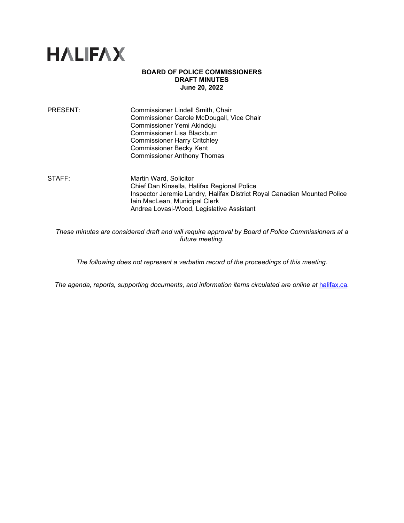

## **BOARD OF POLICE COMMISSIONERS DRAFT MINUTES June 20, 2022**

PRESENT: Commissioner Lindell Smith, Chair Commissioner Carole McDougall, Vice Chair Commissioner Yemi Akindoju Commissioner Lisa Blackburn Commissioner Harry Critchley Commissioner Becky Kent Commissioner Anthony Thomas

STAFF: Martin Ward, Solicitor Chief Dan Kinsella, Halifax Regional Police Inspector Jeremie Landry, Halifax District Royal Canadian Mounted Police Iain MacLean, Municipal Clerk Andrea Lovasi-Wood, Legislative Assistant

*These minutes are considered draft and will require approval by Board of Police Commissioners at a future meeting.* 

*The following does not represent a verbatim record of the proceedings of this meeting.*

*The agenda, reports, supporting documents, and information items circulated are online at [halifax.ca](http://www.halifax.ca/).*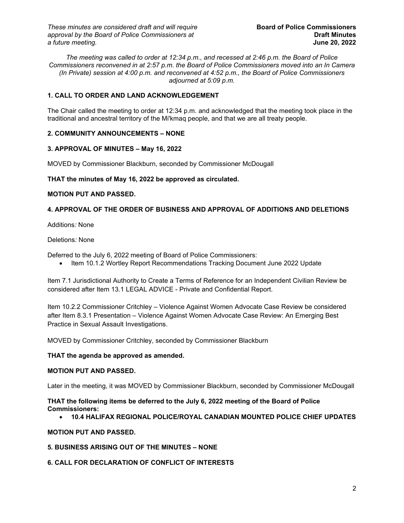*These minutes are considered draft and will require* **Board of Police Commissioners**  *approval by the Board of Police Commissioners at* **Draft Minutes**   $a$  *future meeting.* 

*The meeting was called to order at 12:34 p.m., and recessed at 2:46 p.m. the Board of Police Commissioners reconvened in at 2:57 p.m. the Board of Police Commissioners moved into an In Camera (In Private) session at 4:00 p.m. and reconvened at 4:52 p.m., the Board of Police Commissioners adjourned at 5:09 p.m.*

# **1. CALL TO ORDER AND LAND ACKNOWLEDGEMENT**

The Chair called the meeting to order at 12:34 p.m. and acknowledged that the meeting took place in the traditional and ancestral territory of the Mi'kmaq people, and that we are all treaty people.

# **2. COMMUNITY ANNOUNCEMENTS – NONE**

# **3. APPROVAL OF MINUTES – May 16, 2022**

MOVED by Commissioner Blackburn, seconded by Commissioner McDougall

# **THAT the minutes of May 16, 2022 be approved as circulated.**

# **MOTION PUT AND PASSED.**

# **4. APPROVAL OF THE ORDER OF BUSINESS AND APPROVAL OF ADDITIONS AND DELETIONS**

Additions*:* None

# Deletions*:* None

Deferred to the July 6, 2022 meeting of Board of Police Commissioners:

• Item 10.1.2 Wortley Report Recommendations Tracking Document June 2022 Update

Item 7.1 Jurisdictional Authority to Create a Terms of Reference for an Independent Civilian Review be considered after Item 13.1 LEGAL ADVICE - Private and Confidential Report.

Item 10.2.2 Commissioner Critchley – Violence Against Women Advocate Case Review be considered after Item 8.3.1 Presentation – Violence Against Women Advocate Case Review: An Emerging Best Practice in Sexual Assault Investigations.

MOVED by Commissioner Critchley, seconded by Commissioner Blackburn

### **THAT the agenda be approved as amended.**

### **MOTION PUT AND PASSED.**

Later in the meeting, it was MOVED by Commissioner Blackburn, seconded by Commissioner McDougall

**THAT the following items be deferred to the July 6, 2022 meeting of the Board of Police Commissioners:**

• **10.4 HALIFAX REGIONAL POLICE/ROYAL CANADIAN MOUNTED POLICE CHIEF UPDATES**

## **MOTION PUT AND PASSED.**

# **5. BUSINESS ARISING OUT OF THE MINUTES – NONE**

# **6. CALL FOR DECLARATION OF CONFLICT OF INTERESTS**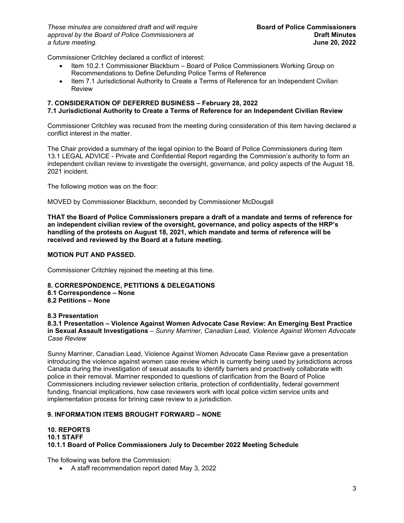*These minutes are considered draft and will require* **Board of Police Commissioners** *approval by the Board of Police Commissioners at* **Draft Minutes**   $a$  *future meeting.* 

Commissioner Critchley declared a conflict of interest:

- Item 10.2.1 Commissioner Blackburn Board of Police Commissioners Working Group on Recommendations to Define Defunding Police Terms of Reference
- Item 7.1 Jurisdictional Authority to Create a Terms of Reference for an Independent Civilian Review

## **7. CONSIDERATION OF DEFERRED BUSINESS – February 28, 2022**

# **7.1 Jurisdictional Authority to Create a Terms of Reference for an Independent Civilian Review**

Commissioner Critchley was recused from the meeting during consideration of this item having declared a conflict interest in the matter.

The Chair provided a summary of the legal opinion to the Board of Police Commissioners during Item 13.1 LEGAL ADVICE - Private and Confidential Report regarding the Commission's authority to form an independent civilian review to investigate the oversight, governance, and policy aspects of the August 18, 2021 incident.

The following motion was on the floor:

MOVED by Commissioner Blackburn, seconded by Commissioner McDougall

**THAT the Board of Police Commissioners prepare a draft of a mandate and terms of reference for an independent civilian review of the oversight, governance, and policy aspects of the HRP's handling of the protests on August 18, 2021, which mandate and terms of reference will be received and reviewed by the Board at a future meeting.** 

# **MOTION PUT AND PASSED.**

Commissioner Critchley rejoined the meeting at this time.

**8. CORRESPONDENCE, PETITIONS & DELEGATIONS** 

- **8.1 Correspondence – None**
- **8.2 Petitions – None**

**8.3 Presentation**

**8.3.1 Presentation – Violence Against Women Advocate Case Review: An Emerging Best Practice in Sexual Assault Investigations** – *Sunny Marriner, Canadian Lead, Violence Against Women Advocate Case Review*

Sunny Marriner, Canadian Lead, Violence Against Women Advocate Case Review gave a presentation introducing the violence against women case review which is currently being used by jurisdictions across Canada during the investigation of sexual assaults to identify barriers and proactively collaborate with police in their removal. Marriner responded to questions of clarification from the Board of Police Commissioners including reviewer selection criteria, protection of confidentiality, federal government funding, financial implications, how case reviewers work with local police victim service units and implementation process for brining case review to a jurisdiction.

# **9. INFORMATION ITEMS BROUGHT FORWARD – NONE**

## **10. REPORTS 10.1 STAFF 10.1.1 Board of Police Commissioners July to December 2022 Meeting Schedule**

The following was before the Commission:

• A staff recommendation report dated May 3, 2022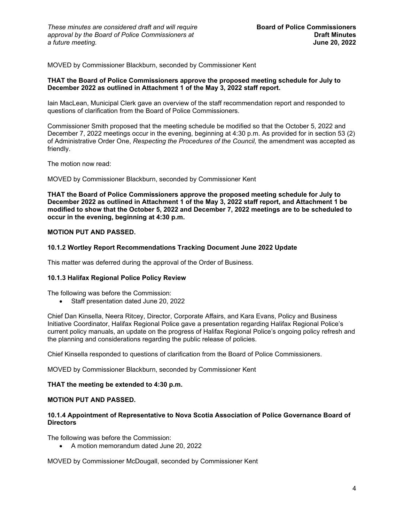MOVED by Commissioner Blackburn, seconded by Commissioner Kent

## **THAT the Board of Police Commissioners approve the proposed meeting schedule for July to December 2022 as outlined in Attachment 1 of the May 3, 2022 staff report.**

Iain MacLean, Municipal Clerk gave an overview of the staff recommendation report and responded to questions of clarification from the Board of Police Commissioners.

Commissioner Smith proposed that the meeting schedule be modified so that the October 5, 2022 and December 7, 2022 meetings occur in the evening, beginning at 4:30 p.m. As provided for in section 53 (2) of Administrative Order One, *Respecting the Procedures of the Council,* the amendment was accepted as friendly.

The motion now read:

MOVED by Commissioner Blackburn, seconded by Commissioner Kent

**THAT the Board of Police Commissioners approve the proposed meeting schedule for July to December 2022 as outlined in Attachment 1 of the May 3, 2022 staff report, and Attachment 1 be modified to show that the October 5, 2022 and December 7, 2022 meetings are to be scheduled to occur in the evening, beginning at 4:30 p.m.**

# **MOTION PUT AND PASSED.**

### **10.1.2 Wortley Report Recommendations Tracking Document June 2022 Update**

This matter was deferred during the approval of the Order of Business.

### **10.1.3 Halifax Regional Police Policy Review**

The following was before the Commission:

• Staff presentation dated June 20, 2022

Chief Dan Kinsella, Neera Ritcey, Director, Corporate Affairs, and Kara Evans, Policy and Business Initiative Coordinator, Halifax Regional Police gave a presentation regarding Halifax Regional Police's current policy manuals, an update on the progress of Halifax Regional Police's ongoing policy refresh and the planning and considerations regarding the public release of policies.

Chief Kinsella responded to questions of clarification from the Board of Police Commissioners.

MOVED by Commissioner Blackburn, seconded by Commissioner Kent

### **THAT the meeting be extended to 4:30 p.m.**

### **MOTION PUT AND PASSED.**

#### **10.1.4 Appointment of Representative to Nova Scotia Association of Police Governance Board of Directors**

The following was before the Commission:

• A motion memorandum dated June 20, 2022

MOVED by Commissioner McDougall, seconded by Commissioner Kent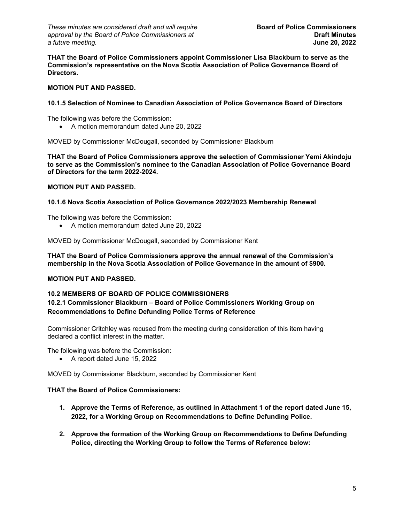*These minutes are considered draft and will require* **Board of Police Commissioners** *approval by the Board of Police Commissioners at* **Draft Minutes**   $a$  *future meeting.* 

**THAT the Board of Police Commissioners appoint Commissioner Lisa Blackburn to serve as the Commission's representative on the Nova Scotia Association of Police Governance Board of Directors.**

# **MOTION PUT AND PASSED.**

## **10.1.5 Selection of Nominee to Canadian Association of Police Governance Board of Directors**

The following was before the Commission:

• A motion memorandum dated June 20, 2022

MOVED by Commissioner McDougall, seconded by Commissioner Blackburn

**THAT the Board of Police Commissioners approve the selection of Commissioner Yemi Akindoju to serve as the Commission's nominee to the Canadian Association of Police Governance Board of Directors for the term 2022-2024.**

# **MOTION PUT AND PASSED.**

# **10.1.6 Nova Scotia Association of Police Governance 2022/2023 Membership Renewal**

The following was before the Commission:

• A motion memorandum dated June 20, 2022

MOVED by Commissioner McDougall, seconded by Commissioner Kent

**THAT the Board of Police Commissioners approve the annual renewal of the Commission's membership in the Nova Scotia Association of Police Governance in the amount of \$900.**

# **MOTION PUT AND PASSED.**

## **10.2 MEMBERS OF BOARD OF POLICE COMMISSIONERS**

# **10.2.1 Commissioner Blackburn – Board of Police Commissioners Working Group on Recommendations to Define Defunding Police Terms of Reference**

Commissioner Critchley was recused from the meeting during consideration of this item having declared a conflict interest in the matter.

The following was before the Commission:

• A report dated June 15, 2022

MOVED by Commissioner Blackburn, seconded by Commissioner Kent

### **THAT the Board of Police Commissioners:**

- **1. Approve the Terms of Reference, as outlined in Attachment 1 of the report dated June 15, 2022, for a Working Group on Recommendations to Define Defunding Police.**
- **2. Approve the formation of the Working Group on Recommendations to Define Defunding Police, directing the Working Group to follow the Terms of Reference below:**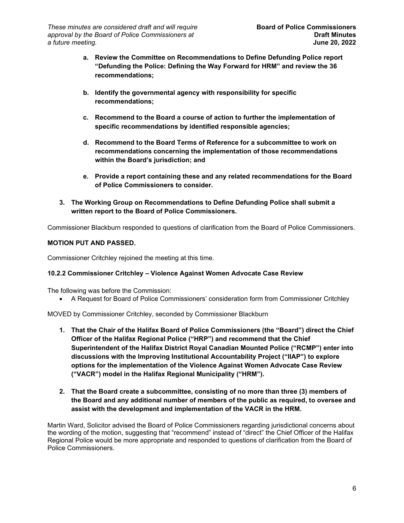- **a. Review the Committee on Recommendations to Define Defunding Police report "Defunding the Police: Defining the Way Forward for HRM" and review the 36 recommendations;**
- **b. Identify the governmental agency with responsibility for specific recommendations;**
- **c. Recommend to the Board a course of action to further the implementation of specific recommendations by identified responsible agencies;**
- **d. Recommend to the Board Terms of Reference for a subcommittee to work on recommendations concerning the implementation of those recommendations within the Board's jurisdiction; and**
- **e. Provide a report containing these and any related recommendations for the Board of Police Commissioners to consider.**
- **3. The Working Group on Recommendations to Define Defunding Police shall submit a written report to the Board of Police Commissioners.**

Commissioner Blackburn responded to questions of clarification from the Board of Police Commissioners.

# **MOTION PUT AND PASSED.**

Commissioner Critchley rejoined the meeting at this time.

# **10.2.2 Commissioner Critchley – Violence Against Women Advocate Case Review**

The following was before the Commission:

• A Request for Board of Police Commissioners' consideration form from Commissioner Critchley

MOVED by Commissioner Critchley, seconded by Commissioner Blackburn

- **1. That the Chair of the Halifax Board of Police Commissioners (the "Board") direct the Chief Officer of the Halifax Regional Police ("HRP") and recommend that the Chief Superintendent of the Halifax District Royal Canadian Mounted Police ("RCMP") enter into discussions with the Improving Institutional Accountability Project ("IIAP") to explore options for the implementation of the Violence Against Women Advocate Case Review ("VACR") model in the Halifax Regional Municipality ("HRM").**
- **2. That the Board create a subcommittee, consisting of no more than three (3) members of the Board and any additional number of members of the public as required, to oversee and assist with the development and implementation of the VACR in the HRM.**

Martin Ward, Solicitor advised the Board of Police Commissioners regarding jurisdictional concerns about the wording of the motion, suggesting that "recommend" instead of "direct" the Chief Officer of the Halifax Regional Police would be more appropriate and responded to questions of clarification from the Board of Police Commissioners.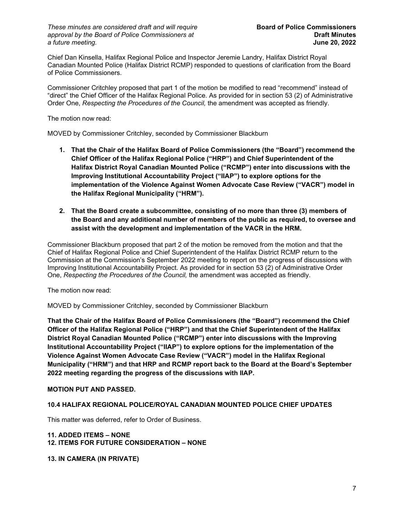*These minutes are considered draft and will require* **Board of Police Commissioners** *approval by the Board of Police Commissioners at* **Draft Minutes**   $a$  *future meeting.* 

Chief Dan Kinsella, Halifax Regional Police and Inspector Jeremie Landry, Halifax District Royal Canadian Mounted Police (Halifax District RCMP) responded to questions of clarification from the Board of Police Commissioners.

Commissioner Critchley proposed that part 1 of the motion be modified to read "recommend" instead of "direct" the Chief Officer of the Halifax Regional Police. As provided for in section 53 (2) of Administrative Order One, *Respecting the Procedures of the Council,* the amendment was accepted as friendly.

The motion now read:

MOVED by Commissioner Critchley, seconded by Commissioner Blackburn

- **1. That the Chair of the Halifax Board of Police Commissioners (the "Board") recommend the Chief Officer of the Halifax Regional Police ("HRP") and Chief Superintendent of the Halifax District Royal Canadian Mounted Police ("RCMP") enter into discussions with the Improving Institutional Accountability Project ("IIAP") to explore options for the implementation of the Violence Against Women Advocate Case Review ("VACR") model in the Halifax Regional Municipality ("HRM").**
- **2. That the Board create a subcommittee, consisting of no more than three (3) members of the Board and any additional number of members of the public as required, to oversee and assist with the development and implementation of the VACR in the HRM.**

Commissioner Blackburn proposed that part 2 of the motion be removed from the motion and that the Chief of Halifax Regional Police and Chief Superintendent of the Halifax District RCMP return to the Commission at the Commission's September 2022 meeting to report on the progress of discussions with Improving Institutional Accountability Project. As provided for in section 53 (2) of Administrative Order One, *Respecting the Procedures of the Council,* the amendment was accepted as friendly.

The motion now read:

MOVED by Commissioner Critchley, seconded by Commissioner Blackburn

**That the Chair of the Halifax Board of Police Commissioners (the "Board") recommend the Chief Officer of the Halifax Regional Police ("HRP") and that the Chief Superintendent of the Halifax District Royal Canadian Mounted Police ("RCMP") enter into discussions with the Improving Institutional Accountability Project ("IIAP") to explore options for the implementation of the Violence Against Women Advocate Case Review ("VACR") model in the Halifax Regional Municipality ("HRM") and that HRP and RCMP report back to the Board at the Board's September 2022 meeting regarding the progress of the discussions with IIAP.**

# **MOTION PUT AND PASSED.**

# **10.4 HALIFAX REGIONAL POLICE/ROYAL CANADIAN MOUNTED POLICE CHIEF UPDATES**

This matter was deferred, refer to Order of Business.

### **11. ADDED ITEMS – NONE**

### **12. ITEMS FOR FUTURE CONSIDERATION – NONE**

**13. IN CAMERA (IN PRIVATE)**